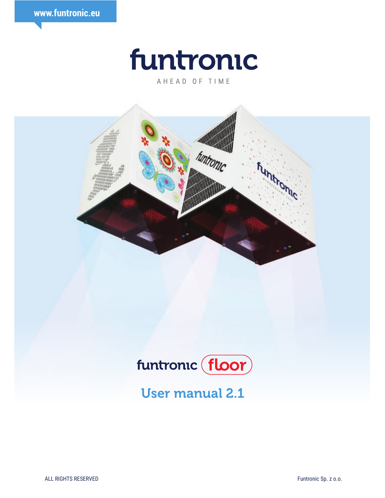



AHEAD OF TIME





User manual 2.1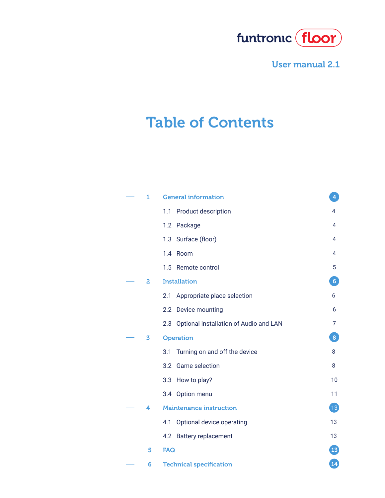

# Table of Contents

| 1 | <b>General information</b>                    | 4                        |
|---|-----------------------------------------------|--------------------------|
|   | Product description<br>1.1                    | 4                        |
|   | 1.2 Package                                   | 4                        |
|   | 1.3 Surface (floor)                           | 4                        |
|   | 1.4 Room                                      | 4                        |
|   | 1.5 Remote control                            | 5                        |
| 2 | <b>Installation</b>                           | $6\phantom{1}6$          |
|   | Appropriate place selection<br>2.1            | 6                        |
|   | Device mounting<br>2.2                        | 6                        |
|   | Optional installation of Audio and LAN<br>2.3 | 7                        |
| 3 | <b>Operation</b>                              | 8                        |
|   | Turning on and off the device<br>3.1          | 8                        |
|   | <b>Game selection</b><br>3.2                  | 8                        |
|   | How to play?<br>3.3                           | 10                       |
|   | 3.4 Option menu                               | 11                       |
| 4 | <b>Maintenance instruction</b>                | $\overline{\mathbf{13}}$ |
|   | 4.1<br>Optional device operating              | 13                       |
|   | <b>Battery replacement</b><br>4.2             | 13                       |
| 5 | <b>FAQ</b>                                    | $\boxed{13}$             |
| 6 | <b>Technical specification</b>                | 14                       |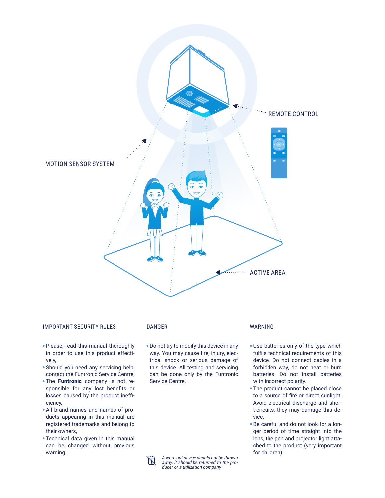

#### IMPORTANT SECURITY RULES DANGER WARNING

- Please, read this manual thoroughly in order to use this product effectively,
- Should you need any servicing help, contact the Funtronic Service Centre,
- The **Funtronic** company is not responsible for any lost benefits or losses caused by the product inefficiency,
- All brand names and names of products appearing in this manual are registered trademarks and belong to their owners,
- Technical data given in this manual can be changed without previous warning.

**IN** 

Do not try to modify this device in any way. You may cause fire, injury, electrical shock or serious damage of this device. All testing and servicing can be done only by the Funtronic Service Centre.

> *A worn out device should not be thrown away, it should be returned to the producer or a utilization company*

- Use batteries only of the type which fulfils technical requirements of this device. Do not connect cables in a forbidden way, do not heat or burn batteries. Do not install batteries with incorrect polarity.
- The product cannot be placed close to a source of fire or direct sunlight. Avoid electrical discharge and short-circuits, they may damage this device.
- Be careful and do not look for a longer period of time straight into the lens, the pen and projector light attached to the product (very important for children).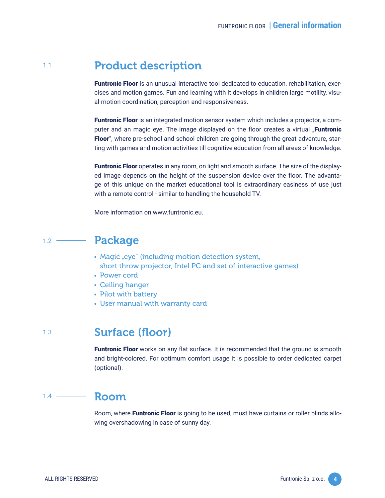#### Product description  $1.1 -$ —

Funtronic Floor is an unusual interactive tool dedicated to education, rehabilitation, exercises and motion games. Fun and learning with it develops in children large motility, visual-motion coordination, perception and responsiveness.

Funtronic Floor is an integrated motion sensor system which includes a projector, a computer and an magic eye. The image displayed on the floor creates a virtual "**Funtronic** Floor", where pre-school and school children are going through the great adventure, starting with games and motion activities till cognitive education from all areas of knowledge.

Funtronic Floor operates in any room, on light and smooth surface. The size of the displayed image depends on the height of the suspension device over the floor. The advantage of this unique on the market educational tool is extraordinary easiness of use just with a remote control - similar to handling the household TV.

More information on www.funtronic.eu.

#### Package  $1.2 \overline{\phantom{a}}$

- Magic "eye" (including motion detection system, short throw projector, Intel PC and set of interactive games)
- Power cord
- Ceiling hanger
- Pilot with battery
- User manual with warranty card

#### Surface (floor)  $1.3 -$

Funtronic Floor works on any flat surface. It is recommended that the ground is smooth and bright-colored. For optimum comfort usage it is possible to order dedicated carpet (optional).

#### Room  $1.4$   $\longrightarrow$

Room, where **Funtronic Floor** is going to be used, must have curtains or roller blinds allowing overshadowing in case of sunny day.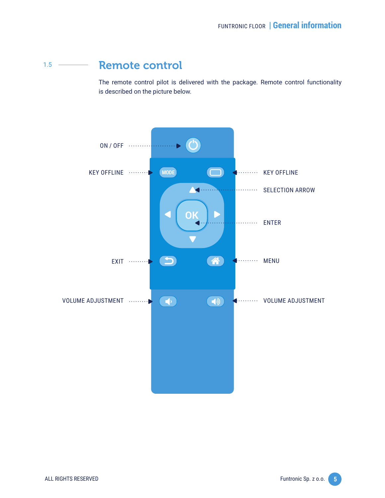#### Remote control  $1.5 -$

The remote control pilot is delivered with the package. Remote control functionality is described on the picture below.

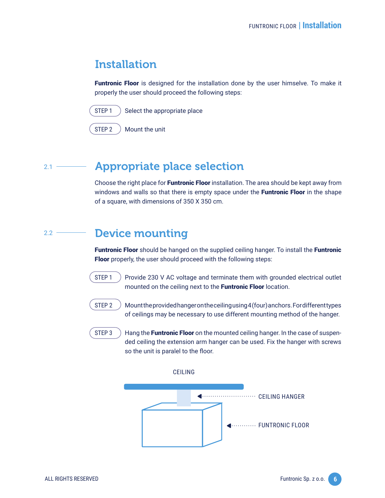## Installation

**Funtronic Floor** is designed for the installation done by the user himselve. To make it properly the user should proceed the following steps:



 $STEP 1$   $See$  and  $See$  is appropriate place

STEP 2 ) Mount the unit

#### Appropriate place selection  $2.1 -$

Choose the right place for **Funtronic Floor** installation. The area should be kept away from windows and walls so that there is empty space under the **Funtronic Floor** in the shape of a square, with dimensions of 350 X 350 cm.

#### Device mounting  $2.2 -$

**Funtronic Floor** should be hanged on the supplied ceiling hanger. To install the **Funtronic** Floor properly, the user should proceed with the following steps:

STEP 1  $\rightarrow$  Provide 230 V AC voltage and terminate them with grounded electrical outlet mounted on the ceiling next to the Funtronic Floor location.

- STEP 2 Mount the provided hanger on the ceilingusing  $4$  (four) anchors. For different types of ceilings may be necessary to use different mounting method of the hanger.
- STEP 3  $\rightarrow$  Hang the **Funtronic Floor** on the mounted ceiling hanger. In the case of suspended ceiling the extension arm hanger can be used. Fix the hanger with screws so the unit is paralel to the floor.

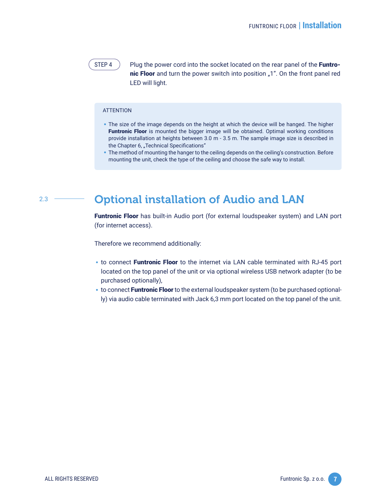STEP 4  $\rightarrow$  Plug the power cord into the socket located on the rear panel of the Funtronic Floor and turn the power switch into position "1". On the front panel red LED will light.

#### **ATTENTION**

- The size of the image depends on the height at which the device will be hanged. The higher Funtronic Floor is mounted the bigger image will be obtained. Optimal working conditions provide installation at heights between 3.0 m - 3.5 m. The sample image size is described in the Chapter 6, "Technical Specifications"
- The method of mounting the hanger to the ceiling depends on the ceiling's construction. Before mounting the unit, check the type of the ceiling and choose the safe way to install.

#### 2.3

## Optional installation of Audio and LAN

Funtronic Floor has built-in Audio port (for external loudspeaker system) and LAN port (for internet access).

Therefore we recommend additionally:

- to connect Funtronic Floor to the internet via LAN cable terminated with RJ-45 port located on the top panel of the unit or via optional wireless USB network adapter (to be purchased optionally),
- **to connect Funtronic Floor** to the external loudspeaker system (to be purchased optionally) via audio cable terminated with Jack 6,3 mm port located on the top panel of the unit.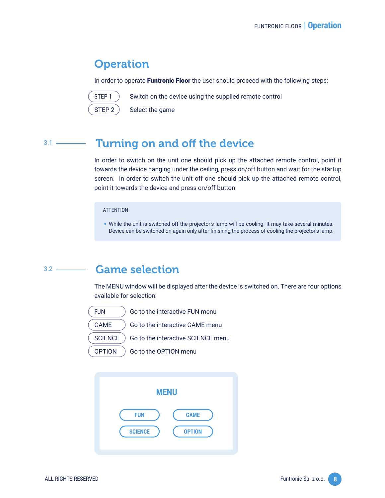## **Operation**

In order to operate Funtronic Floor the user should proceed with the following steps:



STEP 1 Switch on the device using the supplied remote control

 $STEP 2$  Select the game

#### Turning on and off the device  $3.1$  —

In order to switch on the unit one should pick up the attached remote control, point it towards the device hanging under the ceiling, press on/off button and wait for the startup screen. In order to switch the unit off one should pick up the attached remote control,<br>point it towards the device and press on/off button.<br>ATTENTION<br>While the unit is switched off the projector's lamp will be cooling. It point it towards the device and press on/off button.

#### **ATTENTION**

• While the unit is switched off the projector's lamp will be cooling. It may take several minutes.<br>Device can be switched on again only after finishing the process of cooling the projector's lamp.<br>**Game selection**<br>The MEN Device can be switched on again only after finishing the process of cooling the projector's lamp.

#### Game selection  $3.2$  —

The MENU window will be displayed after the device is switched on. There are four options available for selection:

FUN Go to the interactive FUN menu GAME ) Go to the interactive GAME menu SCIENCE ) Go to the interactive SCIENCE menu OPTION ) Go to the OPTION menu

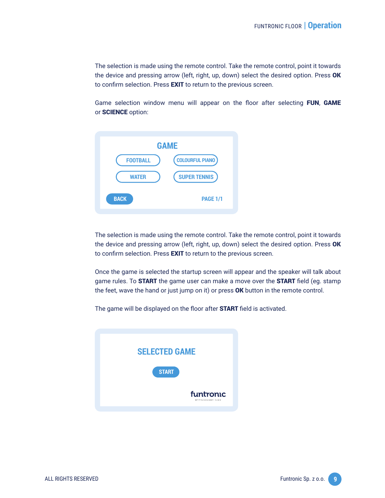The selection is made using the remote control. Take the remote control, point it towards the device and pressing arrow (left, right, up, down) select the desired option. Press OK to confirm selection. Press **EXIT** to return to the previous screen.

Game selection window menu will appear on the floor after selecting FUN, GAME or SCIENCE option:



The selection is made using the remote control. Take the remote control, point it towards the device and pressing arrow (left, right, up, down) select the desired option. Press OK to confirm selection. Press **EXIT** to return to the previous screen.

Once the game is selected the startup screen will appear and the speaker will talk about game rules. To **START** the game user can make a move over the **START** field (eg. stamp the feet, wave the hand or just jump on it) or press OK button in the remote control.

The game will be displayed on the floor after **START** field is activated.

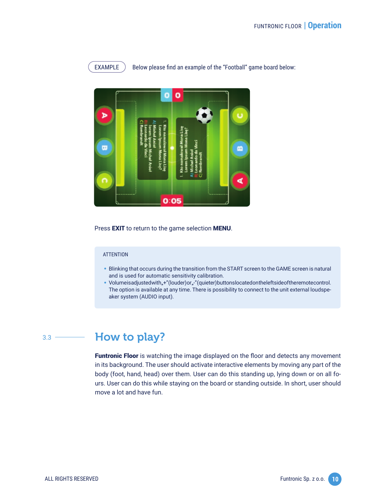

 $EXAMPLE$   $\blacksquare$  Below please find an example of the "Football" game board below:



Press **EXIT** to return to the game selection **MENU**.

#### **ATTENTION**

- Blinking that occurs during the transition from the START screen to the GAME screen is natural and is used for automatic sensitivity calibration.
- Volumeisadjustedwith, $+$ "(louder)or, $-$ "(quieter)buttonslocatedontheleftsideoftheremotecontrol.<br>
The option is available at any time. There is possibility to connect to the unit external loudspe-<br>
aker system (AUDIO inp The option is available at any time. There is possibility to connect to the unit external loudspeaker system (AUDIO input).

 $3.3 -$ 

## How to play?

Funtronic Floor is watching the image displayed on the floor and detects any movement in its background. The user should activate interactive elements by moving any part of the body (foot, hand, head) over them. User can do this standing up, lying down or on all fours. User can do this while staying on the board or standing outside. In short, user should move a lot and have fun.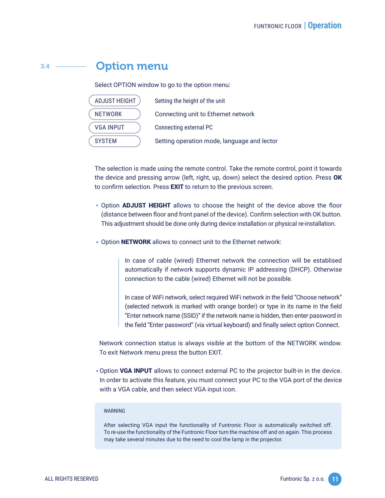#### Option menu  $3.4 -$

Select OPTION window to go to the option menu:

| <b>ADJUST HEIGHT</b> | Setting the height of the unit              |
|----------------------|---------------------------------------------|
| <b>NETWORK</b>       | Connecting unit to Ethernet network         |
| <b>VGA INPUT</b>     | Connecting external PC                      |
| <b>SYSTEM</b>        | Setting operation mode, language and lector |

The selection is made using the remote control. Take the remote control, point it towards the device and pressing arrow (left, right, up, down) select the desired option. Press OK to confirm selection. Press **EXIT** to return to the previous screen.

- Option **ADJUST HEIGHT** allows to choose the height of the device above the floor (distance between floor and front panel of the device). Confirm selection with OK button. This adjustment should be done only during device installation or physical re-installation.
- Option NETWORK allows to connect unit to the Ethernet network:

In case of cable (wired) Ethernet network the connection will be establised automatically if network supports dynamic IP addressing (DHCP). Otherwise connection to the cable (wired) Ethernet will not be possible.

In case of WiFi network, select required WiFi network in the field "Choose network" (selected network is marked with orange border) or type in its name in the field "Enter network name (SSID)" if the network name is hidden, then enter password in the field "Enter password" (via virtual keyboard) and finally select option Connect.

To exit Network menu press the button EXIT.

Network connection status is always visible at the bottom of the NETWORK window.<br>To exit Network menu press the button EXIT.<br>• Option **VGA INPUT** allows to connect external PC to the projector built-in in the device.<br>In or Option VGA INPUT allows to connect external PC to the projector built-in in the device. In order to activate this feature, you must connect your PC to the VGA port of the device with a VGA cable, and then select VGA input icon.

#### **WARNING**

After selecting VGA input the functionality of Funtronic Floor is automatically switched off. To re-use the functionality of the Funtronic Floor turn the machine off and on again. This process may take several minutes due to the need to cool the lamp in the projector.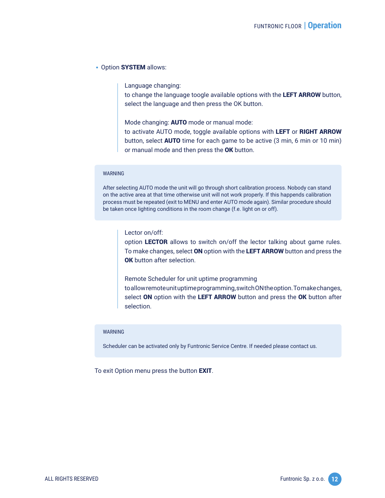### • Option SYSTEM allows:

Language changing:

to change the language toogle available options with the LEFT ARROW button, select the language and then press the OK button.

Mode changing: AUTO mode or manual mode:

to activate AUTO mode, toggle available options with LEFT or RIGHT ARROW button, select **AUTO** time for each game to be active (3 min, 6 min or 10 min) or manual mode and then press the OK button.

### WARNING

After selecting AUTO mode the unit will go through short calibration process. Nobody can stand on the active area at that time otherwise unit will not work properly. If this happends calibration process must be repeated (exit to MENU and enter AUTO mode again). Similar procedure should be taken once lighting conditions in the room change (f.e. light on or off).

Lector on/off:

option LECTOR allows to switch on/off the lector talking about game rules. To make changes, select ON option with the LEFT ARROW button and press the OK button after selection.

Remote Scheduler for unit uptime programming to allow remote unit uptime programming, switch ON the option. To make changes, select ON option with the LEFT ARROW button and press the OK button after selection.

#### WARNING

Scheduler can be activated only by Funtronic Service Centre. If needed please contact us.

To exit Option menu press the button EXIT.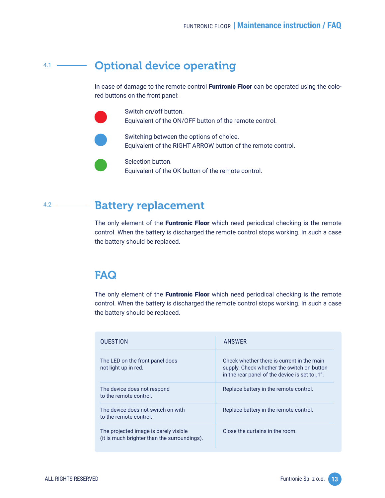#### Optional device operating  $4.1 -$

In case of damage to the remote control Funtronic Floor can be operated using the colored buttons on the front panel:

> Switch on/off button. Equivalent of the ON/OFF button of the remote control.

Switching between the options of choice. Equivalent of the RIGHT ARROW button of the remote control.

Selection button. Equivalent of the OK button of the remote control.

#### Battery replacement  $4.2 -$

The only element of the Funtronic Floor which need periodical checking is the remote control. When the battery is discharged the remote control stops working. In such a case the battery should be replaced.

## FAQ

The only element of the Funtronic Floor which need periodical checking is the remote control. When the battery is discharged the remote control stops working. In such a case the battery should be replaced.

| <b>QUESTION</b>                                                                       | ANSWER                                                                                                                                     |  |
|---------------------------------------------------------------------------------------|--------------------------------------------------------------------------------------------------------------------------------------------|--|
| The LED on the front panel does<br>not light up in red.                               | Check whether there is current in the main<br>supply. Check whether the switch on button<br>in the rear panel of the device is set to .1". |  |
| The device does not respond<br>to the remote control.                                 | Replace battery in the remote control.                                                                                                     |  |
| The device does not switch on with<br>to the remote control.                          | Replace battery in the remote control.                                                                                                     |  |
| The projected image is barely visible<br>(it is much brighter than the surroundings). | Close the curtains in the room.                                                                                                            |  |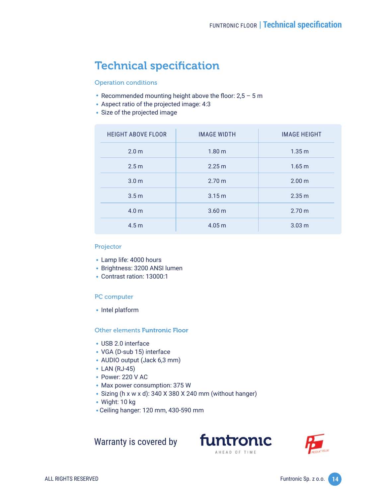## Technical specification

Operation conditions

- 
- Aspect ratio of the projected image: 4:3
- Size of the projected image

| • Recommended mounting height above the floor: $2,5 - 5$ m<br>• Aspect ratio of the projected image: 4:3<br>• Size of the projected image |                    |                     |  |  |  |
|-------------------------------------------------------------------------------------------------------------------------------------------|--------------------|---------------------|--|--|--|
| <b>HEIGHT ABOVE FLOOR</b>                                                                                                                 | <b>IMAGE WIDTH</b> | <b>IMAGE HEIGHT</b> |  |  |  |
| 2.0 <sub>m</sub>                                                                                                                          | 1.80 <sub>m</sub>  | 1.35 m              |  |  |  |
| 2.5 <sub>m</sub>                                                                                                                          | 2.25 m             | 1.65 m              |  |  |  |
| 3.0 <sub>m</sub>                                                                                                                          | 2.70 m             | 2.00 m              |  |  |  |
| 3.5 <sub>m</sub>                                                                                                                          | 3.15 m             | 2.35 m              |  |  |  |
| 4.0 <sub>m</sub>                                                                                                                          | 3.60 <sub>m</sub>  | 2.70 m              |  |  |  |
| 4.5 <sub>m</sub>                                                                                                                          | 4.05 m             | 3.03 <sub>m</sub>   |  |  |  |

### Projector

- Lamp life: 4000 hours
- Brightness: 3200 ANSI lumen<br>• Contrast ration: 13000:1<br>PC computer<br>• Intel platform
	- Contrast ration: 13000:1

## PC computer

# • Intel platform<br>Other elements<br>• USB 2.0 interf<br>• VGA (D-sub 1 Other elements Funtronic Floor

- USB 2.0 interface
- 
- VGA (D-sub 15) interface<br>• AUDIO output (Jack 6,3 mm)<br>• LAN (RJ-45)
- 
- Power: 220 V AC
- Max power consumption: 375 W
- AUDIO output (Jack 6,3 mm)<br>- LAN (RJ-45)<br>- Power: 220 V AC<br>- Max power consumption: 37<br>- Sizing (h x w x d): 340 X 380 • LAN (RJ-45)<br>• Power: 220<br>• Max power o<br>• Sizing (h x w<br>• Wight: 10 kg • Sizing (h x w x d): 340 X 380 X 240 mm (without hanger)<br>• Wight: 10 kg<br>• Ceiling hanger: 120 mm, 430-590 mm
	- Wight: 10 kg
	- Ceiling hanger: 120 mm, 430-590 mm